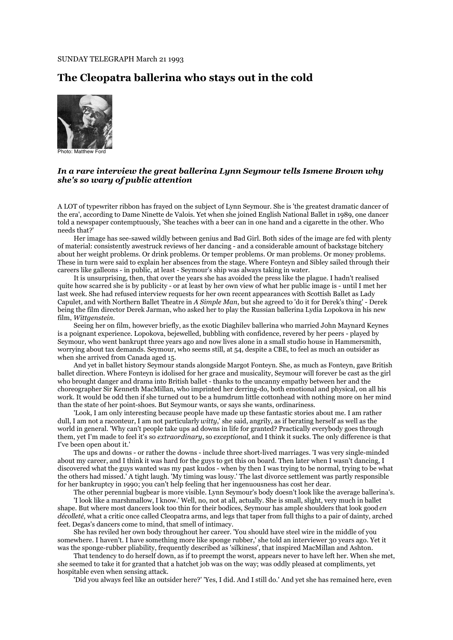## SUNDAY TELEGRAPH March 21 1993

## **The Cleopatra ballerina who stays out in the cold**



Photo: Matthew Ford

## *In a rare interview the great ballerina Lynn Seymour tells Ismene Brown why she's so wary of public attention*

A LOT of typewriter ribbon has frayed on the subject of Lynn Seymour. She is 'the greatest dramatic dancer of the era', according to Dame Ninette de Valois. Yet when she joined English National Ballet in 1989, one dancer told a newspaper contemptuously, 'She teaches with a beer can in one hand and a cigarette in the other. Who needs that?'

Her image has see-sawed wildly between genius and Bad Girl. Both sides of the image are fed with plenty of material: consistently awestruck reviews of her dancing - and a considerable amount of backstage bitchery about her weight problems. Or drink problems. Or temper problems. Or man problems. Or money problems. These in turn were said to explain her absences from the stage. Where Fonteyn and Sibley sailed through their careers like galleons - in public, at least - Seymour's ship was always taking in water.

It is unsurprising, then, that over the years she has avoided the press like the plague. I hadn't realised quite how scarred she is by publicity - or at least by her own view of what her public image is - until I met her last week. She had refused interview requests for her own recent appearances with Scottish Ballet as Lady Capulet, and with Northern Ballet Theatre in *A Simple Man*, but she agreed to 'do it for Derek's thing' - Derek being the film director Derek Jarman, who asked her to play the Russian ballerina Lydia Lopokova in his new film, *Wittgenstein.*

Seeing her on film, however briefly, as the exotic Diaghilev ballerina who married John Maynard Keynes is a poignant experience. Lopokova, bejewelled, bubbling with confidence, revered by her peers - played by Seymour, who went bankrupt three years ago and now lives alone in a small studio house in Hammersmith, worrying about tax demands. Seymour, who seems still, at 54, despite a CBE, to feel as much an outsider as when she arrived from Canada aged 15.

And yet in ballet history Seymour stands alongside Margot Fonteyn. She, as much as Fonteyn, gave British ballet direction. Where Fonteyn is idolised for her grace and musicality, Seymour will forever be cast as the girl who brought danger and drama into British ballet - thanks to the uncanny empathy between her and the choreographer Sir Kenneth MacMillan, who imprinted her derring-do, both emotional and physical, on all his work. It would be odd then if she turned out to be a humdrum little cottonhead with nothing more on her mind than the state of her point-shoes. But Seymour wants, or says she wants, ordinariness.

'Look, I am only interesting because people have made up these fantastic stories about me. I am rather dull, I am not a raconteur, I am not particularly *witty*,' she said, angrily, as if berating herself as well as the world in general. 'Why can't people take ups ad downs in life for granted? Practically everybody goes through them, yet I'm made to feel it's so *extraordinary*, so *exceptional*, and I think it sucks. The only difference is that I've been open about it.'

The ups and downs - or rather the downs - include three short-lived marriages. 'I was very single-minded about my career, and I think it was hard for the guys to get this on board. Then later when I wasn't dancing, I discovered what the guys wanted was my past kudos - when by then I was trying to be normal, trying to be what the others had missed.' A tight laugh. 'My timing was lousy.' The last divorce settlement was partly responsible for her bankruptcy in 1990; you can't help feeling that her ingenuousness has cost her dear.

The other perennial bugbear is more visible. Lynn Seymour's body doesn't look like the average ballerina's.

'I look like a marshmallow, I know.' Well, no, not at all, actually. She is small, slight, very much in ballet shape. But where most dancers look too thin for their bodices, Seymour has ample shoulders that look good *en décolleté*, what a critic once called Cleopatra arms, and legs that taper from full thighs to a pair of dainty, arched feet. Degas's dancers come to mind, that smell of intimacy.

She has reviled her own body throughout her career. 'You should have steel wire in the middle of you somewhere. I haven't. I have something more like sponge rubber,' she told an interviewer 30 years ago. Yet it was the sponge-rubber pliability, frequently described as 'silkiness', that inspired MacMillan and Ashton.

That tendency to do herself down, as if to preempt the worst, appears never to have left her. When she met, she seemed to take it for granted that a hatchet job was on the way; was oddly pleased at compliments, yet hospitable even when sensing attack.

'Did you always feel like an outsider here?' 'Yes, I did. And I still do.' And yet she has remained here, even